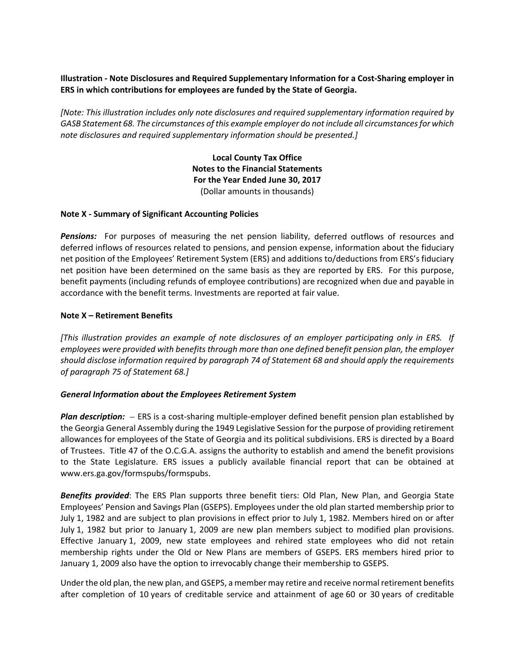## **Illustration ‐ Note Disclosures and Required Supplementary Information for a Cost‐Sharing employer in ERS in which contributions for employees are funded by the State of Georgia.**

*[Note: This illustration includes only note disclosures and required supplementary information required by GASB Statement 68. The circumstances of this example employer do not include all circumstancesfor which note disclosures and required supplementary information should be presented.]*

> **Local County Tax Office Notes to the Financial Statements For the Year Ended June 30, 2017** (Dollar amounts in thousands)

### **Note X ‐ Summary of Significant Accounting Policies**

**Pensions:** For purposes of measuring the net pension liability, deferred outflows of resources and deferred inflows of resources related to pensions, and pension expense, information about the fiduciary net position of the Employees' Retirement System (ERS) and additions to/deductions from ERS's fiduciary net position have been determined on the same basis as they are reported by ERS. For this purpose, benefit payments (including refunds of employee contributions) are recognized when due and payable in accordance with the benefit terms. Investments are reported at fair value.

### **Note X – Retirement Benefits**

[This illustration provides an example of note disclosures of an employer participating only in ERS. If *employees were provided with benefits through more than one defined benefit pension plan, the employer should disclose information required by paragraph 74 of Statement 68 and should apply the requirements of paragraph 75 of Statement 68.]*

#### *General Information about the Employees Retirement System*

*Plan description:* – ERS is a cost-sharing multiple-employer defined benefit pension plan established by the Georgia General Assembly during the 1949 Legislative Session for the purpose of providing retirement allowances for employees of the State of Georgia and its political subdivisions. ERS is directed by a Board of Trustees. Title 47 of the O.C.G.A. assigns the authority to establish and amend the benefit provisions to the State Legislature. ERS issues a publicly available financial report that can be obtained at www.ers.ga.gov/formspubs/formspubs.

*Benefits provided*: The ERS Plan supports three benefit tiers: Old Plan, New Plan, and Georgia State Employees' Pension and Savings Plan (GSEPS). Employees under the old plan started membership prior to July 1, 1982 and are subject to plan provisions in effect prior to July 1, 1982. Members hired on or after July 1, 1982 but prior to January 1, 2009 are new plan members subject to modified plan provisions. Effective January 1, 2009, new state employees and rehired state employees who did not retain membership rights under the Old or New Plans are members of GSEPS. ERS members hired prior to January 1, 2009 also have the option to irrevocably change their membership to GSEPS.

Under the old plan, the new plan, and GSEPS, a member may retire and receive normalretirement benefits after completion of 10 years of creditable service and attainment of age 60 or 30 years of creditable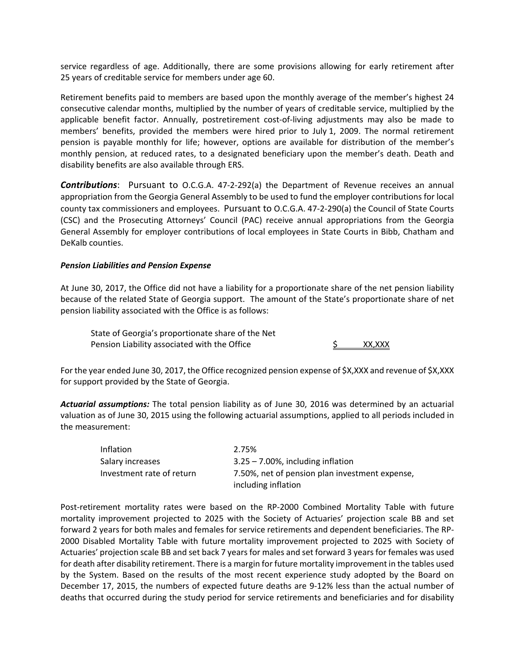service regardless of age. Additionally, there are some provisions allowing for early retirement after 25 years of creditable service for members under age 60.

Retirement benefits paid to members are based upon the monthly average of the member's highest 24 consecutive calendar months, multiplied by the number of years of creditable service, multiplied by the applicable benefit factor. Annually, postretirement cost-of-living adjustments may also be made to members' benefits, provided the members were hired prior to July 1, 2009. The normal retirement pension is payable monthly for life; however, options are available for distribution of the member's monthly pension, at reduced rates, to a designated beneficiary upon the member's death. Death and disability benefits are also available through ERS.

**Contributions**: Pursuant to O.C.G.A. 47-2-292(a) the Department of Revenue receives an annual appropriation from the Georgia General Assembly to be used to fund the employer contributions for local county tax commissioners and employees. Pursuant to O.C.G.A. 47‐2‐290(a) the Council of State Courts (CSC) and the Prosecuting Attorneys' Council (PAC) receive annual appropriations from the Georgia General Assembly for employer contributions of local employees in State Courts in Bibb, Chatham and DeKalb counties.

### *Pension Liabilities and Pension Expense*

At June 30, 2017, the Office did not have a liability for a proportionate share of the net pension liability because of the related State of Georgia support. The amount of the State's proportionate share of net pension liability associated with the Office is as follows:

State of Georgia's proportionate share of the Net Pension Liability associated with the Office  $\frac{1}{2}$  XX,XXX

For the year ended June 30, 2017, the Office recognized pension expense of \$X,XXX and revenue of \$X,XXX for support provided by the State of Georgia.

*Actuarial assumptions:* The total pension liability as of June 30, 2016 was determined by an actuarial valuation as of June 30, 2015 using the following actuarial assumptions, applied to all periods included in the measurement:

| Inflation                 | 2.75%                                                                 |
|---------------------------|-----------------------------------------------------------------------|
| Salary increases          | $3.25 - 7.00\%$ , including inflation                                 |
| Investment rate of return | 7.50%, net of pension plan investment expense,<br>including inflation |

Post-retirement mortality rates were based on the RP-2000 Combined Mortality Table with future mortality improvement projected to 2025 with the Society of Actuaries' projection scale BB and set forward 2 years for both males and females for service retirements and dependent beneficiaries. The RP‐ 2000 Disabled Mortality Table with future mortality improvement projected to 2025 with Society of Actuaries' projection scale BB and set back 7 years for males and set forward 3 years for females was used for death after disability retirement. There is a margin for future mortality improvement in the tables used by the System. Based on the results of the most recent experience study adopted by the Board on December 17, 2015, the numbers of expected future deaths are 9-12% less than the actual number of deaths that occurred during the study period for service retirements and beneficiaries and for disability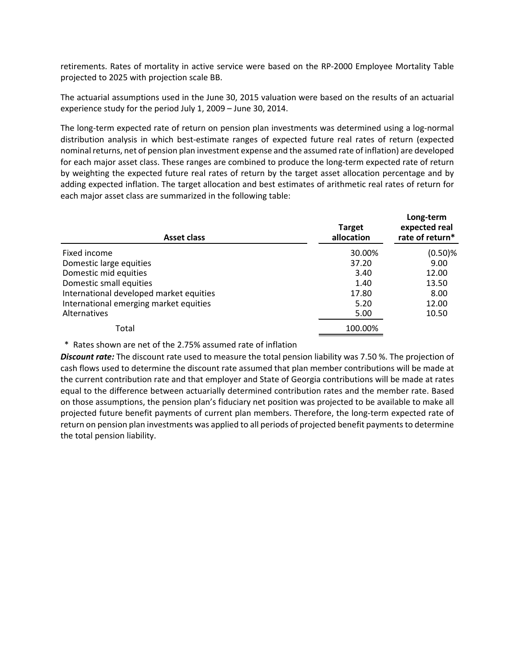retirements. Rates of mortality in active service were based on the RP‐2000 Employee Mortality Table projected to 2025 with projection scale BB.

The actuarial assumptions used in the June 30, 2015 valuation were based on the results of an actuarial experience study for the period July 1, 2009 – June 30, 2014.

The long‐term expected rate of return on pension plan investments was determined using a log‐normal distribution analysis in which best‐estimate ranges of expected future real rates of return (expected nominal returns, net of pension plan investment expense and the assumed rate of inflation) are developed for each major asset class. These ranges are combined to produce the long-term expected rate of return by weighting the expected future real rates of return by the target asset allocation percentage and by adding expected inflation. The target allocation and best estimates of arithmetic real rates of return for each major asset class are summarized in the following table:

| <b>Asset class</b>                      | <b>Target</b><br>allocation | Long-term<br>expected real<br>rate of return* |  |
|-----------------------------------------|-----------------------------|-----------------------------------------------|--|
| Fixed income                            | 30.00%                      | $(0.50)$ %                                    |  |
| Domestic large equities                 | 37.20                       | 9.00                                          |  |
| Domestic mid equities                   | 3.40                        | 12.00                                         |  |
| Domestic small equities                 | 1.40                        | 13.50                                         |  |
| International developed market equities | 17.80                       | 8.00                                          |  |
| International emerging market equities  | 5.20                        | 12.00                                         |  |
| Alternatives                            | 5.00                        | 10.50                                         |  |
| Total                                   | 100.00%                     |                                               |  |

\* Rates shown are net of the 2.75% assumed rate of inflation

*Discount rate:* The discount rate used to measure the total pension liability was 7.50 %. The projection of cash flows used to determine the discount rate assumed that plan member contributions will be made at the current contribution rate and that employer and State of Georgia contributions will be made at rates equal to the difference between actuarially determined contribution rates and the member rate. Based on those assumptions, the pension plan's fiduciary net position was projected to be available to make all projected future benefit payments of current plan members. Therefore, the long-term expected rate of return on pension plan investments was applied to all periods of projected benefit payments to determine the total pension liability.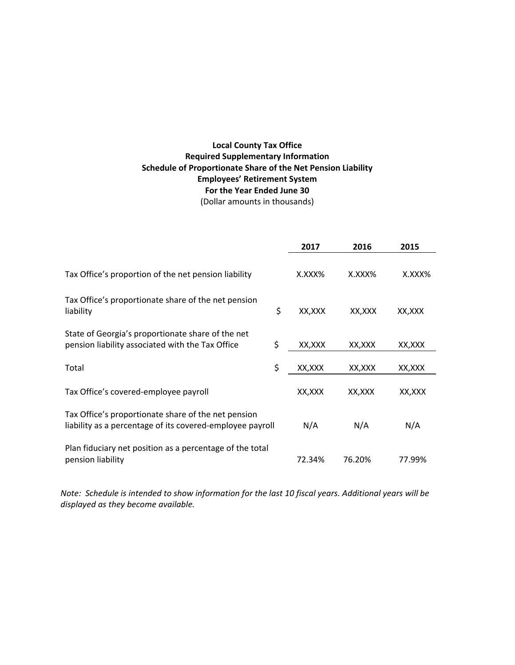# **Local County Tax Office Required Supplementary Information Schedule of Proportionate Share of the Net Pension Liability Employees' Retirement System For the Year Ended June 30** (Dollar amounts in thousands)

|                                                                                                                  |    | 2017    | 2016    | 2015   |
|------------------------------------------------------------------------------------------------------------------|----|---------|---------|--------|
| Tax Office's proportion of the net pension liability                                                             |    | X.XXX%  | X.XXX%  | X.XXX% |
| Tax Office's proportionate share of the net pension<br>liability                                                 | \$ | XX,XXX  | XX,XXX  | XX,XXX |
| State of Georgia's proportionate share of the net<br>pension liability associated with the Tax Office            | \$ | XX, XXX | XX,XXX  | XX,XXX |
| Total                                                                                                            | \$ | XX,XXX  | XX, XXX | XX,XXX |
| Tax Office's covered-employee payroll                                                                            |    | XX,XXX  | XX,XXX  | XX,XXX |
| Tax Office's proportionate share of the net pension<br>liability as a percentage of its covered-employee payroll |    | N/A     | N/A     | N/A    |
| Plan fiduciary net position as a percentage of the total<br>pension liability                                    |    | 72.34%  | 76.20%  | 77.99% |

Note: Schedule is intended to show information for the last 10 fiscal years. Additional years will be *displayed as they become available.*